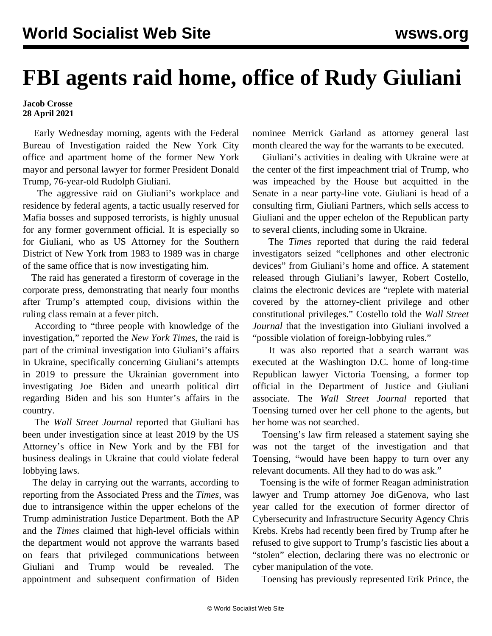## **FBI agents raid home, office of Rudy Giuliani**

## **Jacob Crosse 28 April 2021**

 Early Wednesday morning, agents with the Federal Bureau of Investigation raided the New York City office and apartment home of the former New York mayor and personal lawyer for former President Donald Trump, 76-year-old Rudolph Giuliani.

 The aggressive raid on Giuliani's workplace and residence by federal agents, a tactic usually reserved for Mafia bosses and supposed terrorists, is highly unusual for any former government official. It is especially so for Giuliani, who as US Attorney for the Southern District of New York from 1983 to 1989 was in charge of the same office that is now investigating him.

 The raid has generated a firestorm of coverage in the corporate press, demonstrating that nearly four months after Trump's attempted coup, divisions within the ruling class remain at a fever pitch.

 According to "three people with knowledge of the investigation," reported the *New York Times*, the raid is part of the criminal investigation into Giuliani's affairs in Ukraine, specifically concerning Giuliani's attempts in 2019 to pressure the Ukrainian government into investigating Joe Biden and unearth political dirt regarding Biden and his son Hunter's affairs in the country.

 The *Wall Street Journal* reported that Giuliani has been under investigation since at least 2019 by the US Attorney's office in New York and by the FBI for business dealings in Ukraine that could violate federal lobbying laws.

 The delay in carrying out the warrants, according to reporting from the Associated Press and the *Times*, was due to intransigence within the upper echelons of the Trump administration Justice Department. Both the AP and the *Times* claimed that high-level officials within the department would not approve the warrants based on fears that privileged communications between Giuliani and Trump would be revealed. The appointment and subsequent confirmation of Biden nominee Merrick Garland as attorney general last month cleared the way for the warrants to be executed.

 Giuliani's activities in dealing with Ukraine were at the center of the first impeachment trial of Trump, who was impeached by the House but acquitted in the Senate in a near party-line vote. Giuliani is head of a consulting firm, Giuliani Partners, which sells access to Giuliani and the upper echelon of the Republican party to several clients, including some in Ukraine.

 The *Times* reported that during the raid federal investigators seized "cellphones and other electronic devices" from Giuliani's home and office. A statement released through Giuliani's lawyer, Robert Costello, claims the electronic devices are "replete with material covered by the attorney-client privilege and other constitutional privileges." Costello told the *Wall Street Journal* that the investigation into Giuliani involved a "possible violation of foreign-lobbying rules."

 It was also reported that a search warrant was executed at the Washington D.C. home of long-time Republican lawyer Victoria Toensing, a former top official in the Department of Justice and Giuliani associate. The *Wall Street Journal* reported that Toensing turned over her cell phone to the agents, but her home was not searched.

 Toensing's law firm released a statement saying she was not the target of the investigation and that Toensing, "would have been happy to turn over any relevant documents. All they had to do was ask."

 Toensing is the wife of former Reagan administration lawyer and Trump attorney Joe diGenova, who [last](/en/articles/2020/12/02/elec-d02.html) [year called for the execution](/en/articles/2020/12/02/elec-d02.html) of former director of Cybersecurity and Infrastructure Security Agency Chris Krebs. Krebs had recently been fired by Trump after he refused to give support to Trump's fascistic lies about a "stolen" election, declaring there was no electronic or cyber manipulation of the vote.

Toensing has previously represented Erik Prince, the